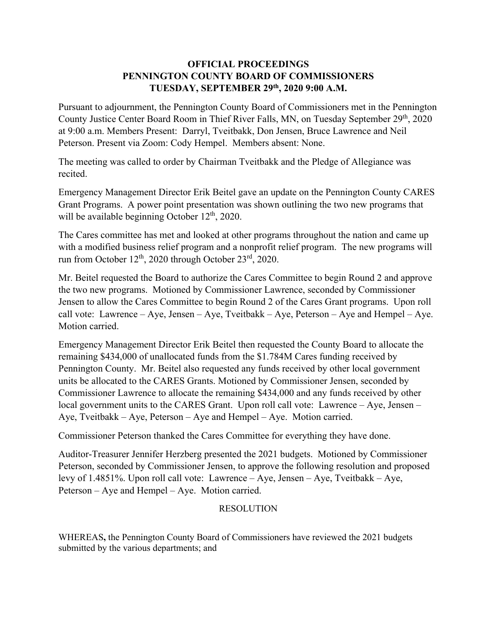## **OFFICIAL PROCEEDINGS PENNINGTON COUNTY BOARD OF COMMISSIONERS TUESDAY, SEPTEMBER 29th, 2020 9:00 A.M.**

Pursuant to adjournment, the Pennington County Board of Commissioners met in the Pennington County Justice Center Board Room in Thief River Falls, MN, on Tuesday September 29th, 2020 at 9:00 a.m. Members Present: Darryl, Tveitbakk, Don Jensen, Bruce Lawrence and Neil Peterson. Present via Zoom: Cody Hempel. Members absent: None.

The meeting was called to order by Chairman Tveitbakk and the Pledge of Allegiance was recited.

Emergency Management Director Erik Beitel gave an update on the Pennington County CARES Grant Programs. A power point presentation was shown outlining the two new programs that will be available beginning October 12<sup>th</sup>, 2020.

The Cares committee has met and looked at other programs throughout the nation and came up with a modified business relief program and a nonprofit relief program. The new programs will run from October 12th, 2020 through October 23rd, 2020.

Mr. Beitel requested the Board to authorize the Cares Committee to begin Round 2 and approve the two new programs. Motioned by Commissioner Lawrence, seconded by Commissioner Jensen to allow the Cares Committee to begin Round 2 of the Cares Grant programs. Upon roll call vote: Lawrence – Aye, Jensen – Aye, Tveitbakk – Aye, Peterson – Aye and Hempel – Aye. Motion carried.

Emergency Management Director Erik Beitel then requested the County Board to allocate the remaining \$434,000 of unallocated funds from the \$1.784M Cares funding received by Pennington County. Mr. Beitel also requested any funds received by other local government units be allocated to the CARES Grants. Motioned by Commissioner Jensen, seconded by Commissioner Lawrence to allocate the remaining \$434,000 and any funds received by other local government units to the CARES Grant. Upon roll call vote: Lawrence – Aye, Jensen – Aye, Tveitbakk – Aye, Peterson – Aye and Hempel – Aye. Motion carried.

Commissioner Peterson thanked the Cares Committee for everything they have done.

Auditor-Treasurer Jennifer Herzberg presented the 2021 budgets. Motioned by Commissioner Peterson, seconded by Commissioner Jensen, to approve the following resolution and proposed levy of 1.4851%. Upon roll call vote: Lawrence – Aye, Jensen – Aye, Tveitbakk – Aye, Peterson – Aye and Hempel – Aye. Motion carried.

## RESOLUTION

WHEREAS**,** the Pennington County Board of Commissioners have reviewed the 2021 budgets submitted by the various departments; and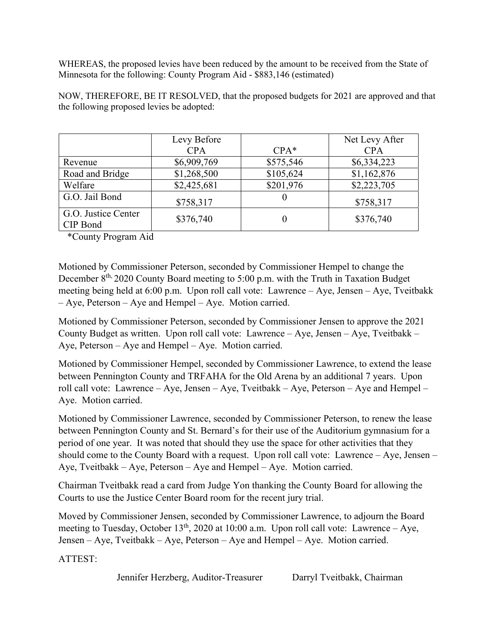WHEREAS, the proposed levies have been reduced by the amount to be received from the State of Minnesota for the following: County Program Aid - \$883,146 (estimated)

|                                 | Levy Before |           | Net Levy After |
|---------------------------------|-------------|-----------|----------------|
|                                 | <b>CPA</b>  | $CPA*$    | <b>CPA</b>     |
| Revenue                         | \$6,909,769 | \$575,546 | \$6,334,223    |
| Road and Bridge                 | \$1,268,500 | \$105,624 | \$1,162,876    |
| Welfare                         | \$2,425,681 | \$201,976 | \$2,223,705    |
| G.O. Jail Bond                  | \$758,317   |           | \$758,317      |
| G.O. Justice Center<br>CIP Bond | \$376,740   |           | \$376,740      |

NOW, THEREFORE, BE IT RESOLVED, that the proposed budgets for 2021 are approved and that the following proposed levies be adopted:

\*County Program Aid

Motioned by Commissioner Peterson, seconded by Commissioner Hempel to change the December  $8<sup>th</sup>$ , 2020 County Board meeting to 5:00 p.m. with the Truth in Taxation Budget meeting being held at 6:00 p.m. Upon roll call vote: Lawrence – Aye, Jensen – Aye, Tveitbakk – Aye, Peterson – Aye and Hempel – Aye. Motion carried.

Motioned by Commissioner Peterson, seconded by Commissioner Jensen to approve the 2021 County Budget as written. Upon roll call vote: Lawrence – Aye, Jensen – Aye, Tveitbakk – Aye, Peterson – Aye and Hempel – Aye. Motion carried.

Motioned by Commissioner Hempel, seconded by Commissioner Lawrence, to extend the lease between Pennington County and TRFAHA for the Old Arena by an additional 7 years. Upon roll call vote: Lawrence – Aye, Jensen – Aye, Tveitbakk – Aye, Peterson – Aye and Hempel – Aye. Motion carried.

Motioned by Commissioner Lawrence, seconded by Commissioner Peterson, to renew the lease between Pennington County and St. Bernard's for their use of the Auditorium gymnasium for a period of one year. It was noted that should they use the space for other activities that they should come to the County Board with a request. Upon roll call vote: Lawrence – Aye, Jensen – Aye, Tveitbakk – Aye, Peterson – Aye and Hempel – Aye. Motion carried.

Chairman Tveitbakk read a card from Judge Yon thanking the County Board for allowing the Courts to use the Justice Center Board room for the recent jury trial.

Moved by Commissioner Jensen, seconded by Commissioner Lawrence, to adjourn the Board meeting to Tuesday, October  $13<sup>th</sup>$ , 2020 at 10:00 a.m. Upon roll call vote: Lawrence – Aye, Jensen – Aye, Tveitbakk – Aye, Peterson – Aye and Hempel – Aye. Motion carried.

ATTEST:

Jennifer Herzberg, Auditor-Treasurer Darryl Tveitbakk, Chairman